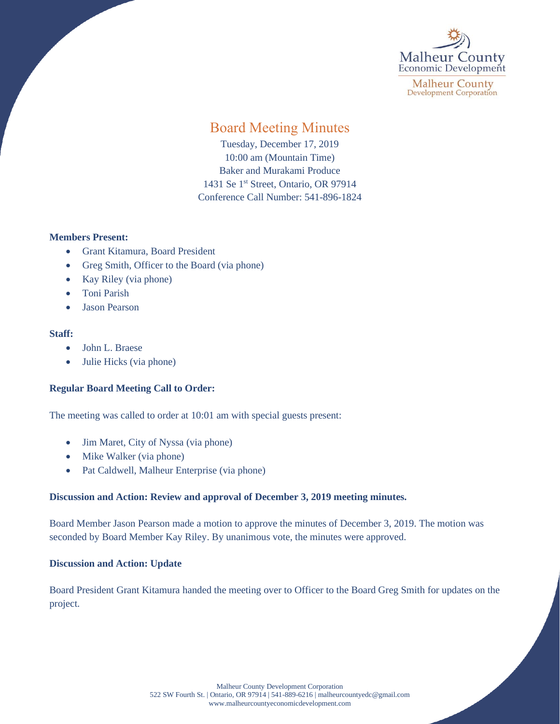

**Malheur County Development Corporation** 

# Board Meeting Minutes

Tuesday, December 17, 2019 10:00 am (Mountain Time) Baker and Murakami Produce 1431 Se 1<sup>st</sup> Street, Ontario, OR 97914 Conference Call Number: 541-896-1824

## **Members Present:**

- Grant Kitamura, Board President
- Greg Smith, Officer to the Board (via phone)
- Kay Riley (via phone)
- Toni Parish
- Jason Pearson

## **Staff:**

- John L. Braese
- Julie Hicks (via phone)

## **Regular Board Meeting Call to Order:**

The meeting was called to order at 10:01 am with special guests present:

- Jim Maret, City of Nyssa (via phone)
- Mike Walker (via phone)
- Pat Caldwell, Malheur Enterprise (via phone)

## **Discussion and Action: Review and approval of December 3, 2019 meeting minutes.**

Board Member Jason Pearson made a motion to approve the minutes of December 3, 2019. The motion was seconded by Board Member Kay Riley. By unanimous vote, the minutes were approved.

## **Discussion and Action: Update**

Board President Grant Kitamura handed the meeting over to Officer to the Board Greg Smith for updates on the project.